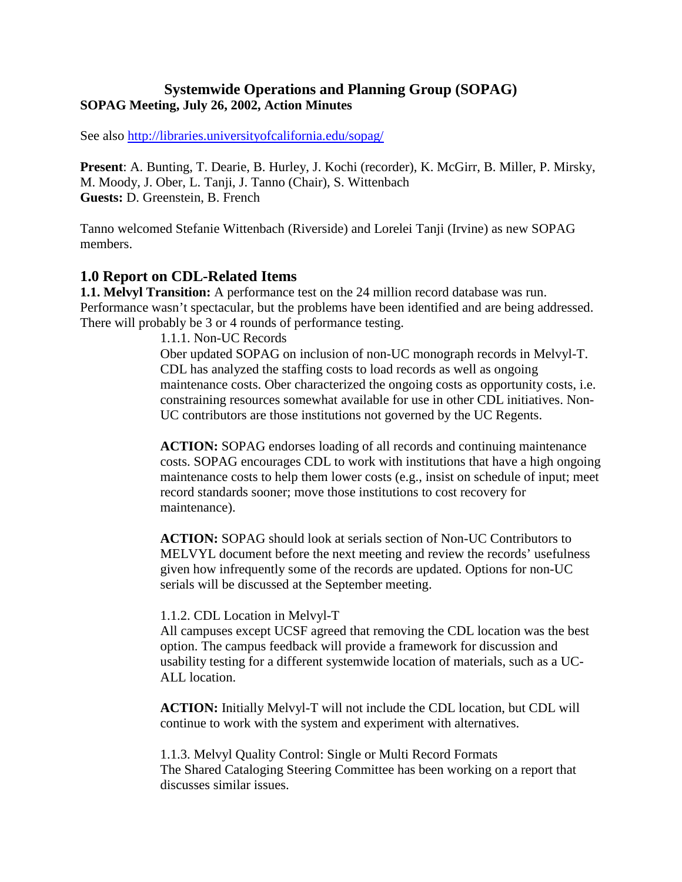## **Systemwide Operations and Planning Group (SOPAG) SOPAG Meeting, July 26, 2002, Action Minutes**

See also http://libraries.universityofcalifornia.edu/sopag/

**Present**: A. Bunting, T. Dearie, B. Hurley, J. Kochi (recorder), K. McGirr, B. Miller, P. Mirsky, M. Moody, J. Ober, L. Tanji, J. Tanno (Chair), S. Wittenbach **Guests:** D. Greenstein, B. French

Tanno welcomed Stefanie Wittenbach (Riverside) and Lorelei Tanji (Irvine) as new SOPAG members.

### **1.0 Report on CDL-Related Items**

**1.1. Melvyl Transition:** A performance test on the 24 million record database was run. Performance wasn't spectacular, but the problems have been identified and are being addressed. There will probably be 3 or 4 rounds of performance testing.

1.1.1. Non-UC Records Ober updated SOPAG on inclusion of non-UC monograph records in Melvyl-T. CDL has analyzed the staffing costs to load records as well as ongoing maintenance costs. Ober characterized the ongoing costs as opportunity costs, i.e. constraining resources somewhat available for use in other CDL initiatives. Non-UC contributors are those institutions not governed by the UC Regents.

**ACTION:** SOPAG endorses loading of all records and continuing maintenance costs. SOPAG encourages CDL to work with institutions that have a high ongoing maintenance costs to help them lower costs (e.g., insist on schedule of input; meet record standards sooner; move those institutions to cost recovery for maintenance).

**ACTION:** SOPAG should look at serials section of Non-UC Contributors to MELVYL document before the next meeting and review the records' usefulness given how infrequently some of the records are updated. Options for non-UC serials will be discussed at the September meeting.

#### 1.1.2. CDL Location in Melvyl-T

All campuses except UCSF agreed that removing the CDL location was the best option. The campus feedback will provide a framework for discussion and usability testing for a different systemwide location of materials, such as a UC-ALL location.

**ACTION:** Initially Melvyl-T will not include the CDL location, but CDL will continue to work with the system and experiment with alternatives.

1.1.3. Melvyl Quality Control: Single or Multi Record Formats The Shared Cataloging Steering Committee has been working on a report that discusses similar issues.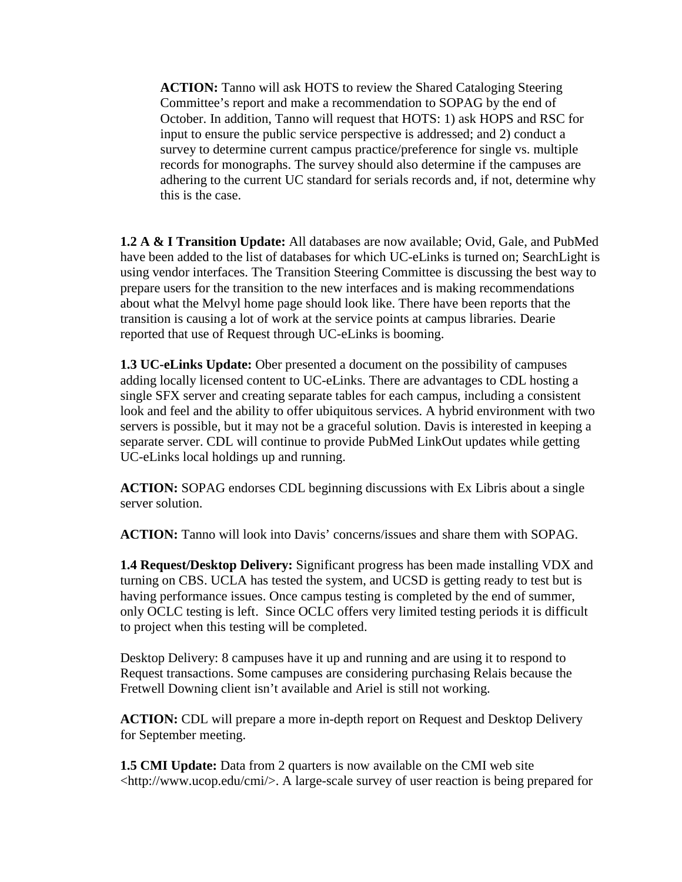**ACTION:** Tanno will ask HOTS to review the Shared Cataloging Steering Committee's report and make a recommendation to SOPAG by the end of October. In addition, Tanno will request that HOTS: 1) ask HOPS and RSC for input to ensure the public service perspective is addressed; and 2) conduct a survey to determine current campus practice/preference for single vs. multiple records for monographs. The survey should also determine if the campuses are adhering to the current UC standard for serials records and, if not, determine why this is the case.

**1.2 A & I Transition Update:** All databases are now available; Ovid, Gale, and PubMed have been added to the list of databases for which UC-eLinks is turned on; SearchLight is using vendor interfaces. The Transition Steering Committee is discussing the best way to prepare users for the transition to the new interfaces and is making recommendations about what the Melvyl home page should look like. There have been reports that the transition is causing a lot of work at the service points at campus libraries. Dearie reported that use of Request through UC-eLinks is booming.

**1.3 UC-eLinks Update:** Ober presented a document on the possibility of campuses adding locally licensed content to UC-eLinks. There are advantages to CDL hosting a single SFX server and creating separate tables for each campus, including a consistent look and feel and the ability to offer ubiquitous services. A hybrid environment with two servers is possible, but it may not be a graceful solution. Davis is interested in keeping a separate server. CDL will continue to provide PubMed LinkOut updates while getting UC-eLinks local holdings up and running.

**ACTION:** SOPAG endorses CDL beginning discussions with Ex Libris about a single server solution.

**ACTION:** Tanno will look into Davis' concerns/issues and share them with SOPAG.

**1.4 Request/Desktop Delivery:** Significant progress has been made installing VDX and turning on CBS. UCLA has tested the system, and UCSD is getting ready to test but is having performance issues. Once campus testing is completed by the end of summer, only OCLC testing is left. Since OCLC offers very limited testing periods it is difficult to project when this testing will be completed.

Desktop Delivery: 8 campuses have it up and running and are using it to respond to Request transactions. Some campuses are considering purchasing Relais because the Fretwell Downing client isn't available and Ariel is still not working.

**ACTION:** CDL will prepare a more in-depth report on Request and Desktop Delivery for September meeting.

**1.5 CMI Update:** Data from 2 quarters is now available on the CMI web site <http://www.ucop.edu/cmi/>. A large-scale survey of user reaction is being prepared for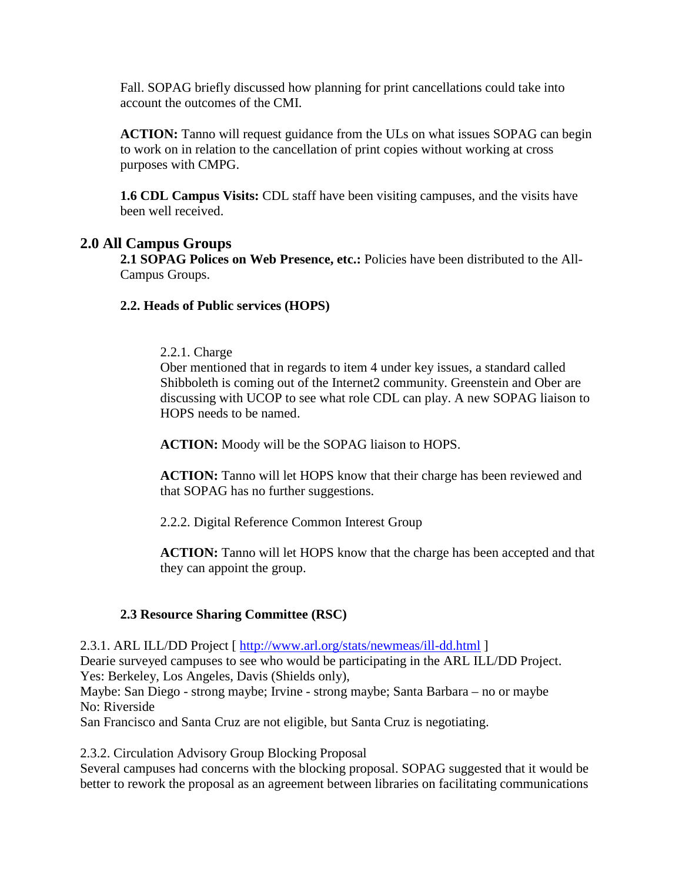Fall. SOPAG briefly discussed how planning for print cancellations could take into account the outcomes of the CMI.

**ACTION:** Tanno will request guidance from the ULs on what issues SOPAG can begin to work on in relation to the cancellation of print copies without working at cross purposes with CMPG.

**1.6 CDL Campus Visits:** CDL staff have been visiting campuses, and the visits have been well received.

## **2.0 All Campus Groups**

**2.1 SOPAG Polices on Web Presence, etc.:** Policies have been distributed to the All-Campus Groups.

### **2.2. Heads of Public services (HOPS)**

#### 2.2.1. Charge

Ober mentioned that in regards to item 4 under key issues, a standard called Shibboleth is coming out of the Internet2 community. Greenstein and Ober are discussing with UCOP to see what role CDL can play. A new SOPAG liaison to HOPS needs to be named.

**ACTION:** Moody will be the SOPAG liaison to HOPS.

**ACTION:** Tanno will let HOPS know that their charge has been reviewed and that SOPAG has no further suggestions.

2.2.2. Digital Reference Common Interest Group

**ACTION:** Tanno will let HOPS know that the charge has been accepted and that they can appoint the group.

## **2.3 Resource Sharing Committee (RSC)**

2.3.1. ARL ILL/DD Project [<http://www.arl.org/stats/newmeas/ill-dd.html> ] Dearie surveyed campuses to see who would be participating in the ARL ILL/DD Project. Yes: Berkeley, Los Angeles, Davis (Shields only),

Maybe: San Diego - strong maybe; Irvine - strong maybe; Santa Barbara – no or maybe No: Riverside

San Francisco and Santa Cruz are not eligible, but Santa Cruz is negotiating.

2.3.2. Circulation Advisory Group Blocking Proposal

Several campuses had concerns with the blocking proposal. SOPAG suggested that it would be better to rework the proposal as an agreement between libraries on facilitating communications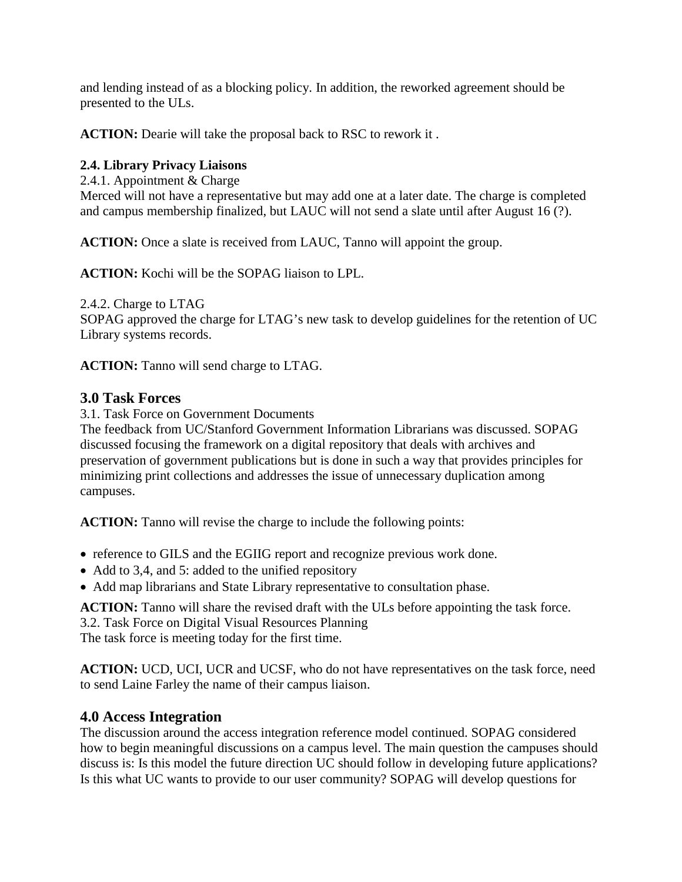and lending instead of as a blocking policy. In addition, the reworked agreement should be presented to the ULs.

**ACTION:** Dearie will take the proposal back to RSC to rework it .

## **2.4. Library Privacy Liaisons**

2.4.1. Appointment & Charge

Merced will not have a representative but may add one at a later date. The charge is completed and campus membership finalized, but LAUC will not send a slate until after August 16 (?).

**ACTION:** Once a slate is received from LAUC, Tanno will appoint the group.

**ACTION:** Kochi will be the SOPAG liaison to LPL.

2.4.2. Charge to LTAG

SOPAG approved the charge for LTAG's new task to develop guidelines for the retention of UC Library systems records.

**ACTION:** Tanno will send charge to LTAG.

## **3.0 Task Forces**

3.1. Task Force on Government Documents

The feedback from UC/Stanford Government Information Librarians was discussed. SOPAG discussed focusing the framework on a digital repository that deals with archives and preservation of government publications but is done in such a way that provides principles for minimizing print collections and addresses the issue of unnecessary duplication among campuses.

**ACTION:** Tanno will revise the charge to include the following points:

- reference to GILS and the EGIIG report and recognize previous work done.
- Add to 3,4, and 5: added to the unified repository
- Add map librarians and State Library representative to consultation phase.

**ACTION:** Tanno will share the revised draft with the ULs before appointing the task force. 3.2. Task Force on Digital Visual Resources Planning

The task force is meeting today for the first time.

**ACTION:** UCD, UCI, UCR and UCSF, who do not have representatives on the task force, need to send Laine Farley the name of their campus liaison.

# **4.0 Access Integration**

The discussion around the access integration reference model continued. SOPAG considered how to begin meaningful discussions on a campus level. The main question the campuses should discuss is: Is this model the future direction UC should follow in developing future applications? Is this what UC wants to provide to our user community? SOPAG will develop questions for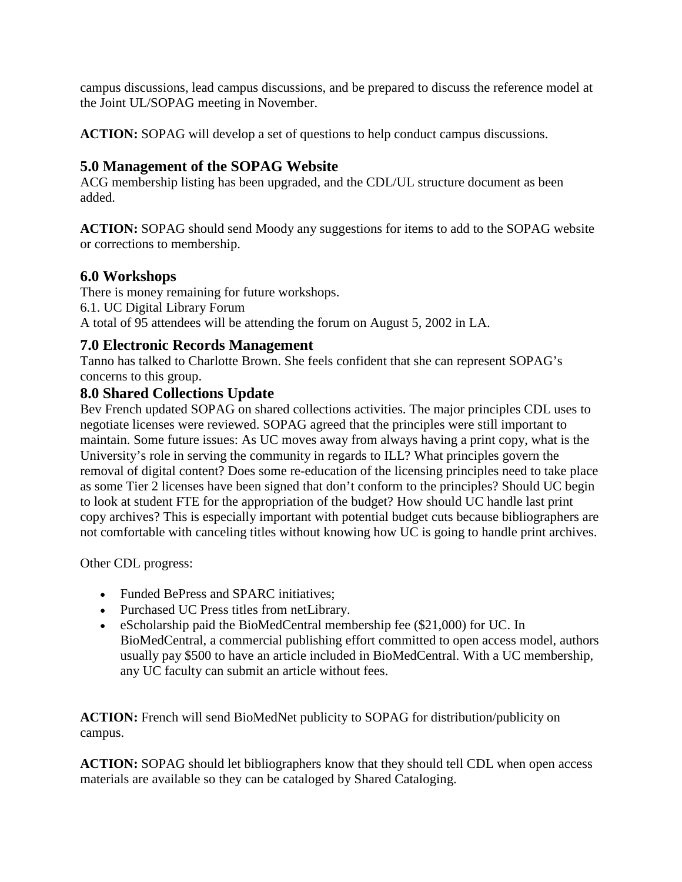campus discussions, lead campus discussions, and be prepared to discuss the reference model at the Joint UL/SOPAG meeting in November.

**ACTION:** SOPAG will develop a set of questions to help conduct campus discussions.

# **5.0 Management of the SOPAG Website**

ACG membership listing has been upgraded, and the CDL/UL structure document as been added.

**ACTION:** SOPAG should send Moody any suggestions for items to add to the SOPAG website or corrections to membership.

# **6.0 Workshops**

There is money remaining for future workshops. 6.1. UC Digital Library Forum A total of 95 attendees will be attending the forum on August 5, 2002 in LA.

# **7.0 Electronic Records Management**

Tanno has talked to Charlotte Brown. She feels confident that she can represent SOPAG's concerns to this group.

# **8.0 Shared Collections Update**

Bev French updated SOPAG on shared collections activities. The major principles CDL uses to negotiate licenses were reviewed. SOPAG agreed that the principles were still important to maintain. Some future issues: As UC moves away from always having a print copy, what is the University's role in serving the community in regards to ILL? What principles govern the removal of digital content? Does some re-education of the licensing principles need to take place as some Tier 2 licenses have been signed that don't conform to the principles? Should UC begin to look at student FTE for the appropriation of the budget? How should UC handle last print copy archives? This is especially important with potential budget cuts because bibliographers are not comfortable with canceling titles without knowing how UC is going to handle print archives.

Other CDL progress:

- Funded BePress and SPARC initiatives;
- Purchased UC Press titles from netLibrary.
- eScholarship paid the BioMedCentral membership fee (\$21,000) for UC. In BioMedCentral, a commercial publishing effort committed to open access model, authors usually pay \$500 to have an article included in BioMedCentral. With a UC membership, any UC faculty can submit an article without fees.

**ACTION:** French will send BioMedNet publicity to SOPAG for distribution/publicity on campus.

**ACTION:** SOPAG should let bibliographers know that they should tell CDL when open access materials are available so they can be cataloged by Shared Cataloging.